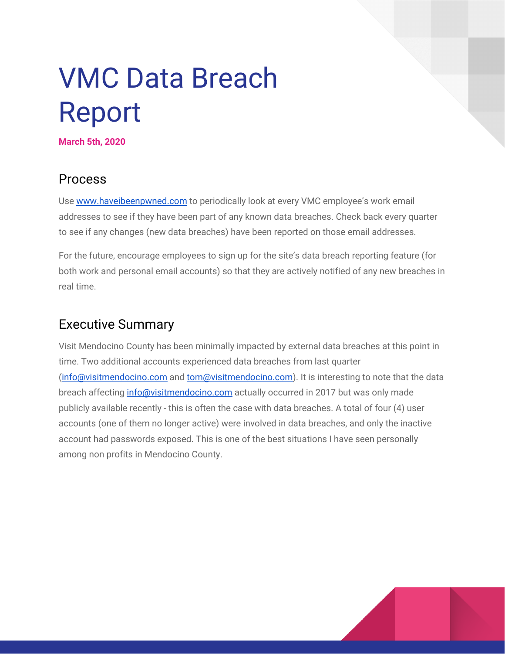## VMC Data Breach Report

**March 5th, 2020**

## Process

Use [www.haveibeenpwned.com](http://www.haveibeenpwned.com/) to periodically look at every VMC employee's work email addresses to see if they have been part of any known data breaches. Check back every quarter to see if any changes (new data breaches) have been reported on those email addresses.

For the future, encourage employees to sign up for the site's data breach reporting feature (for both work and personal email accounts) so that they are actively notified of any new breaches in real time.

## Executive Summary

Visit Mendocino County has been minimally impacted by external data breaches at this point in time. Two additional accounts experienced data breaches from last quarter ([info@visitmendocino.com](mailto:info@visitmendocino.com) and [tom@visitmendocino.com\)](mailto:tom@visitmendocino.com). It is interesting to note that the data breach affecting [info@visitmendocino.com](mailto:info@visitmendocino.com) actually occurred in 2017 but was only made publicly available recently - this is often the case with data breaches. A total of four (4) user accounts (one of them no longer active) were involved in data breaches, and only the inactive account had passwords exposed. This is one of the best situations I have seen personally among non profits in Mendocino County.